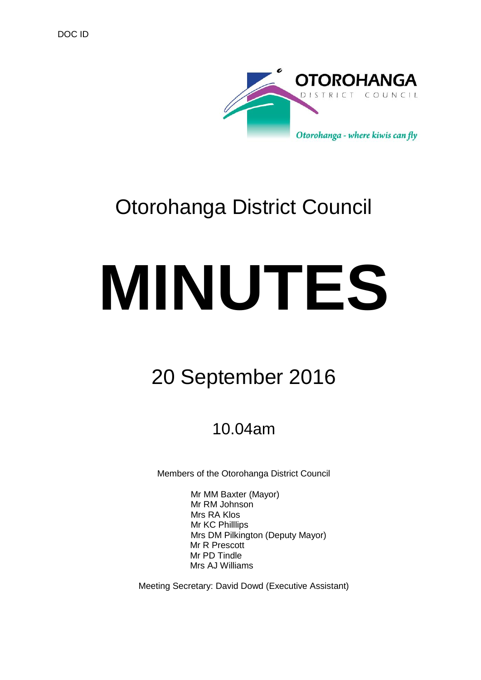

# Otorohanga District Council

# **MINUTES**

# 20 September 2016

10.04am

Members of the Otorohanga District Council

Mr MM Baxter (Mayor) Mr RM Johnson Mrs RA Klos Mr KC Philllips Mrs DM Pilkington (Deputy Mayor) Mr R Prescott Mr PD Tindle Mrs AJ Williams

Meeting Secretary: David Dowd (Executive Assistant)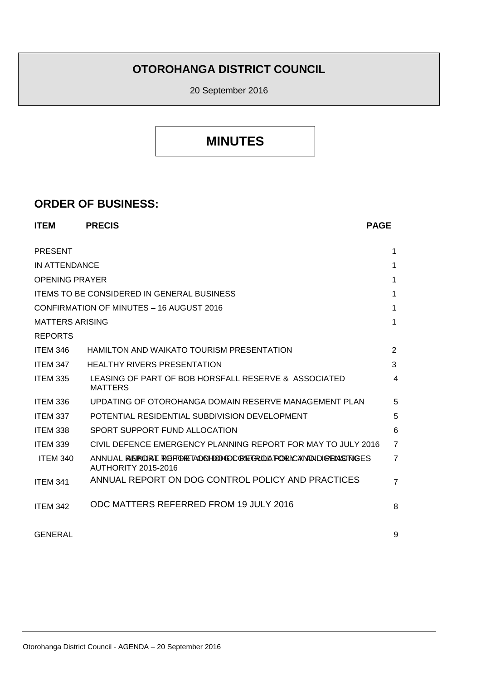## **OTOROHANGA DISTRICT COUNCIL**

20 September 2016

## **MINUTES**

#### **ORDER OF BUSINESS:**

| <b>ITEM</b>                                       | <b>PRECIS</b>                                                                                         | <b>PAGE</b>    |  |
|---------------------------------------------------|-------------------------------------------------------------------------------------------------------|----------------|--|
| <b>PRESENT</b>                                    |                                                                                                       | 1              |  |
| IN ATTENDANCE                                     |                                                                                                       |                |  |
| <b>OPENING PRAYER</b>                             |                                                                                                       |                |  |
| <b>ITEMS TO BE CONSIDERED IN GENERAL BUSINESS</b> |                                                                                                       |                |  |
| <b>CONFIRMATION OF MINUTES - 16 AUGUST 2016</b>   |                                                                                                       |                |  |
| <b>MATTERS ARISING</b>                            |                                                                                                       | 1              |  |
| <b>REPORTS</b>                                    |                                                                                                       |                |  |
| ITEM 346                                          | <b>HAMILTON AND WAIKATO TOURISM PRESENTATION</b>                                                      | 2              |  |
| ITEM 347                                          | <b>HEALTHY RIVERS PRESENTATION</b>                                                                    | 3              |  |
| <b>ITEM 335</b>                                   | LEASING OF PART OF BOB HORSFALL RESERVE & ASSOCIATED<br><b>MATTERS</b>                                | 4              |  |
| ITEM 336                                          | UPDATING OF OTOROHANGA DOMAIN RESERVE MANAGEMENT PLAN                                                 | 5              |  |
| <b>ITEM 337</b>                                   | POTENTIAL RESIDENTIAL SUBDIVISION DEVELOPMENT                                                         | 5              |  |
| <b>ITEM 338</b>                                   | SPORT SUPPORT FUND ALLOCATION                                                                         | 6              |  |
| <b>ITEM 339</b>                                   | CIVIL DEFENCE EMERGENCY PLANNING REPORT FOR MAY TO JULY 2016                                          | $\overline{7}$ |  |
| <b>ITEM 340</b>                                   | ANNUAL PAENPOPAI ROFFORETA DO HODO CONFORTADA FOR MCXMADU DE PAASTINGES<br><b>AUTHORITY 2015-2016</b> | 7              |  |
| <b>ITEM 341</b>                                   | ANNUAL REPORT ON DOG CONTROL POLICY AND PRACTICES                                                     | 7              |  |
| <b>ITEM 342</b>                                   | ODC MATTERS REFERRED FROM 19 JULY 2016                                                                | 8              |  |
| <b>GENERAL</b>                                    |                                                                                                       | 9              |  |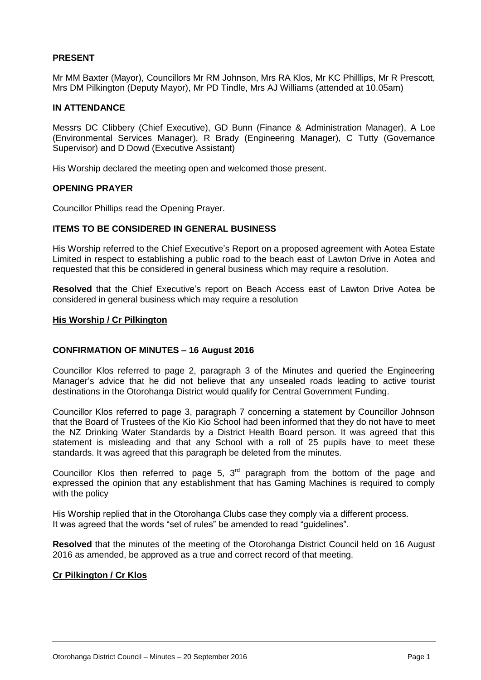#### **PRESENT**

Mr MM Baxter (Mayor), Councillors Mr RM Johnson, Mrs RA Klos, Mr KC Philllips, Mr R Prescott, Mrs DM Pilkington (Deputy Mayor), Mr PD Tindle, Mrs AJ Williams (attended at 10.05am)

#### **IN ATTENDANCE**

Messrs DC Clibbery (Chief Executive), GD Bunn (Finance & Administration Manager), A Loe (Environmental Services Manager), R Brady (Engineering Manager), C Tutty (Governance Supervisor) and D Dowd (Executive Assistant)

His Worship declared the meeting open and welcomed those present.

#### **OPENING PRAYER**

Councillor Phillips read the Opening Prayer.

#### **ITEMS TO BE CONSIDERED IN GENERAL BUSINESS**

His Worship referred to the Chief Executive's Report on a proposed agreement with Aotea Estate Limited in respect to establishing a public road to the beach east of Lawton Drive in Aotea and requested that this be considered in general business which may require a resolution.

**Resolved** that the Chief Executive's report on Beach Access east of Lawton Drive Aotea be considered in general business which may require a resolution

#### **His Worship / Cr Pilkington**

#### **CONFIRMATION OF MINUTES – 16 August 2016**

Councillor Klos referred to page 2, paragraph 3 of the Minutes and queried the Engineering Manager's advice that he did not believe that any unsealed roads leading to active tourist destinations in the Otorohanga District would qualify for Central Government Funding.

Councillor Klos referred to page 3, paragraph 7 concerning a statement by Councillor Johnson that the Board of Trustees of the Kio Kio School had been informed that they do not have to meet the NZ Drinking Water Standards by a District Health Board person. It was agreed that this statement is misleading and that any School with a roll of 25 pupils have to meet these standards. It was agreed that this paragraph be deleted from the minutes.

Councillor Klos then referred to page  $5.3<sup>rd</sup>$  paragraph from the bottom of the page and expressed the opinion that any establishment that has Gaming Machines is required to comply with the policy

His Worship replied that in the Otorohanga Clubs case they comply via a different process. It was agreed that the words "set of rules" be amended to read "guidelines".

**Resolved** that the minutes of the meeting of the Otorohanga District Council held on 16 August 2016 as amended, be approved as a true and correct record of that meeting.

#### **Cr Pilkington / Cr Klos**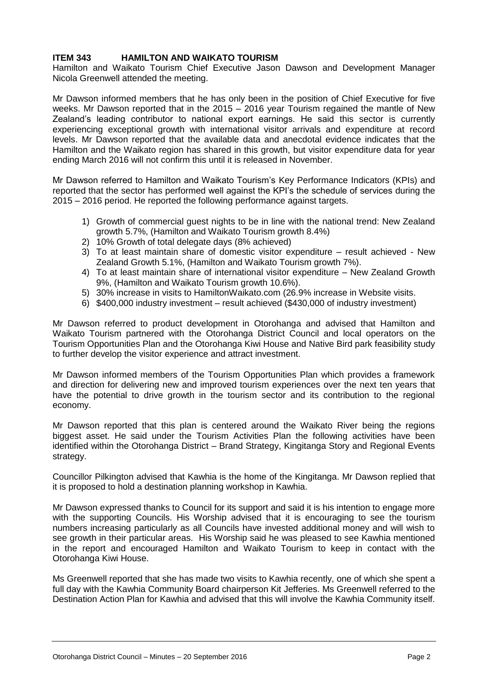#### **ITEM 343 HAMILTON AND WAIKATO TOURISM**

Hamilton and Waikato Tourism Chief Executive Jason Dawson and Development Manager Nicola Greenwell attended the meeting.

Mr Dawson informed members that he has only been in the position of Chief Executive for five weeks. Mr Dawson reported that in the 2015 – 2016 year Tourism regained the mantle of New Zealand's leading contributor to national export earnings. He said this sector is currently experiencing exceptional growth with international visitor arrivals and expenditure at record levels. Mr Dawson reported that the available data and anecdotal evidence indicates that the Hamilton and the Waikato region has shared in this growth, but visitor expenditure data for year ending March 2016 will not confirm this until it is released in November.

Mr Dawson referred to Hamilton and Waikato Tourism's Key Performance Indicators (KPIs) and reported that the sector has performed well against the KPI's the schedule of services during the 2015 – 2016 period. He reported the following performance against targets.

- 1) Growth of commercial guest nights to be in line with the national trend: New Zealand growth 5.7%, (Hamilton and Waikato Tourism growth 8.4%)
- 2) 10% Growth of total delegate days (8% achieved)
- 3) To at least maintain share of domestic visitor expenditure result achieved New Zealand Growth 5.1%, (Hamilton and Waikato Tourism growth 7%).
- 4) To at least maintain share of international visitor expenditure New Zealand Growth 9%, (Hamilton and Waikato Tourism growth 10.6%).
- 5) 30% increase in visits to HamiltonWaikato.com (26.9% increase in Website visits.
- 6) \$400,000 industry investment result achieved (\$430,000 of industry investment)

Mr Dawson referred to product development in Otorohanga and advised that Hamilton and Waikato Tourism partnered with the Otorohanga District Council and local operators on the Tourism Opportunities Plan and the Otorohanga Kiwi House and Native Bird park feasibility study to further develop the visitor experience and attract investment.

Mr Dawson informed members of the Tourism Opportunities Plan which provides a framework and direction for delivering new and improved tourism experiences over the next ten years that have the potential to drive growth in the tourism sector and its contribution to the regional economy.

Mr Dawson reported that this plan is centered around the Waikato River being the regions biggest asset. He said under the Tourism Activities Plan the following activities have been identified within the Otorohanga District – Brand Strategy, Kingitanga Story and Regional Events strategy.

Councillor Pilkington advised that Kawhia is the home of the Kingitanga. Mr Dawson replied that it is proposed to hold a destination planning workshop in Kawhia.

Mr Dawson expressed thanks to Council for its support and said it is his intention to engage more with the supporting Councils. His Worship advised that it is encouraging to see the tourism numbers increasing particularly as all Councils have invested additional money and will wish to see growth in their particular areas. His Worship said he was pleased to see Kawhia mentioned in the report and encouraged Hamilton and Waikato Tourism to keep in contact with the Otorohanga Kiwi House.

Ms Greenwell reported that she has made two visits to Kawhia recently, one of which she spent a full day with the Kawhia Community Board chairperson Kit Jefferies. Ms Greenwell referred to the Destination Action Plan for Kawhia and advised that this will involve the Kawhia Community itself.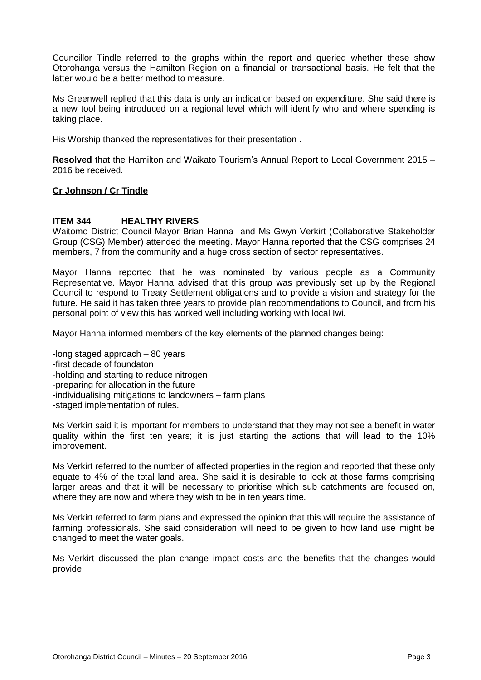Councillor Tindle referred to the graphs within the report and queried whether these show Otorohanga versus the Hamilton Region on a financial or transactional basis. He felt that the latter would be a better method to measure.

Ms Greenwell replied that this data is only an indication based on expenditure. She said there is a new tool being introduced on a regional level which will identify who and where spending is taking place.

His Worship thanked the representatives for their presentation .

**Resolved** that the Hamilton and Waikato Tourism's Annual Report to Local Government 2015 – 2016 be received.

#### **Cr Johnson / Cr Tindle**

#### **ITEM 344 HEALTHY RIVERS**

Waitomo District Council Mayor Brian Hanna and Ms Gwyn Verkirt (Collaborative Stakeholder Group (CSG) Member) attended the meeting. Mayor Hanna reported that the CSG comprises 24 members, 7 from the community and a huge cross section of sector representatives.

Mayor Hanna reported that he was nominated by various people as a Community Representative. Mayor Hanna advised that this group was previously set up by the Regional Council to respond to Treaty Settlement obligations and to provide a vision and strategy for the future. He said it has taken three years to provide plan recommendations to Council, and from his personal point of view this has worked well including working with local Iwi.

Mayor Hanna informed members of the key elements of the planned changes being:

-long staged approach – 80 years

-first decade of foundaton

-holding and starting to reduce nitrogen

-preparing for allocation in the future

- -individualising mitigations to landowners farm plans
- -staged implementation of rules.

Ms Verkirt said it is important for members to understand that they may not see a benefit in water quality within the first ten years; it is just starting the actions that will lead to the 10% improvement.

Ms Verkirt referred to the number of affected properties in the region and reported that these only equate to 4% of the total land area. She said it is desirable to look at those farms comprising larger areas and that it will be necessary to prioritise which sub catchments are focused on, where they are now and where they wish to be in ten years time.

Ms Verkirt referred to farm plans and expressed the opinion that this will require the assistance of farming professionals. She said consideration will need to be given to how land use might be changed to meet the water goals.

Ms Verkirt discussed the plan change impact costs and the benefits that the changes would provide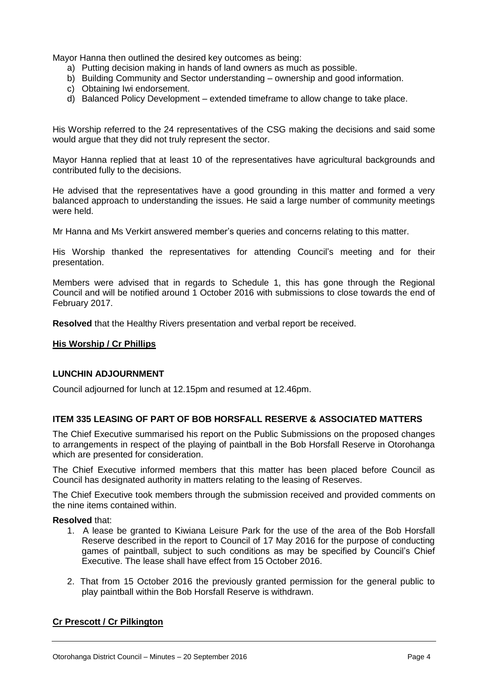Mayor Hanna then outlined the desired key outcomes as being:

- a) Putting decision making in hands of land owners as much as possible.
- b) Building Community and Sector understanding ownership and good information.
- c) Obtaining Iwi endorsement.
- d) Balanced Policy Development extended timeframe to allow change to take place.

His Worship referred to the 24 representatives of the CSG making the decisions and said some would argue that they did not truly represent the sector.

Mayor Hanna replied that at least 10 of the representatives have agricultural backgrounds and contributed fully to the decisions.

He advised that the representatives have a good grounding in this matter and formed a very balanced approach to understanding the issues. He said a large number of community meetings were held.

Mr Hanna and Ms Verkirt answered member's queries and concerns relating to this matter.

His Worship thanked the representatives for attending Council's meeting and for their presentation.

Members were advised that in regards to Schedule 1, this has gone through the Regional Council and will be notified around 1 October 2016 with submissions to close towards the end of February 2017.

**Resolved** that the Healthy Rivers presentation and verbal report be received.

#### **His Worship / Cr Phillips**

#### **LUNCHIN ADJOURNMENT**

Council adjourned for lunch at 12.15pm and resumed at 12.46pm.

#### **ITEM 335 LEASING OF PART OF BOB HORSFALL RESERVE & ASSOCIATED MATTERS**

The Chief Executive summarised his report on the Public Submissions on the proposed changes to arrangements in respect of the playing of paintball in the Bob Horsfall Reserve in Otorohanga which are presented for consideration.

The Chief Executive informed members that this matter has been placed before Council as Council has designated authority in matters relating to the leasing of Reserves.

The Chief Executive took members through the submission received and provided comments on the nine items contained within.

#### **Resolved** that:

- 1. A lease be granted to Kiwiana Leisure Park for the use of the area of the Bob Horsfall Reserve described in the report to Council of 17 May 2016 for the purpose of conducting games of paintball, subject to such conditions as may be specified by Council's Chief Executive. The lease shall have effect from 15 October 2016.
- 2. That from 15 October 2016 the previously granted permission for the general public to play paintball within the Bob Horsfall Reserve is withdrawn.

#### **Cr Prescott / Cr Pilkington**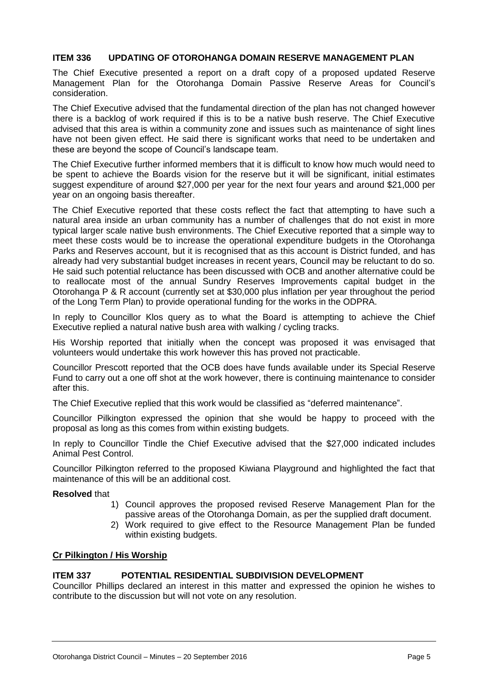#### **ITEM 336 UPDATING OF OTOROHANGA DOMAIN RESERVE MANAGEMENT PLAN**

The Chief Executive presented a report on a draft copy of a proposed updated Reserve Management Plan for the Otorohanga Domain Passive Reserve Areas for Council's consideration.

The Chief Executive advised that the fundamental direction of the plan has not changed however there is a backlog of work required if this is to be a native bush reserve. The Chief Executive advised that this area is within a community zone and issues such as maintenance of sight lines have not been given effect. He said there is significant works that need to be undertaken and these are beyond the scope of Council's landscape team.

The Chief Executive further informed members that it is difficult to know how much would need to be spent to achieve the Boards vision for the reserve but it will be significant, initial estimates suggest expenditure of around \$27,000 per year for the next four years and around \$21,000 per year on an ongoing basis thereafter.

The Chief Executive reported that these costs reflect the fact that attempting to have such a natural area inside an urban community has a number of challenges that do not exist in more typical larger scale native bush environments. The Chief Executive reported that a simple way to meet these costs would be to increase the operational expenditure budgets in the Otorohanga Parks and Reserves account, but it is recognised that as this account is District funded, and has already had very substantial budget increases in recent years, Council may be reluctant to do so. He said such potential reluctance has been discussed with OCB and another alternative could be to reallocate most of the annual Sundry Reserves Improvements capital budget in the Otorohanga P & R account (currently set at \$30,000 plus inflation per year throughout the period of the Long Term Plan) to provide operational funding for the works in the ODPRA.

In reply to Councillor Klos query as to what the Board is attempting to achieve the Chief Executive replied a natural native bush area with walking / cycling tracks.

His Worship reported that initially when the concept was proposed it was envisaged that volunteers would undertake this work however this has proved not practicable.

Councillor Prescott reported that the OCB does have funds available under its Special Reserve Fund to carry out a one off shot at the work however, there is continuing maintenance to consider after this.

The Chief Executive replied that this work would be classified as "deferred maintenance".

Councillor Pilkington expressed the opinion that she would be happy to proceed with the proposal as long as this comes from within existing budgets.

In reply to Councillor Tindle the Chief Executive advised that the \$27,000 indicated includes Animal Pest Control.

Councillor Pilkington referred to the proposed Kiwiana Playground and highlighted the fact that maintenance of this will be an additional cost.

#### **Resolved** that

- 1) Council approves the proposed revised Reserve Management Plan for the passive areas of the Otorohanga Domain, as per the supplied draft document.
- 2) Work required to give effect to the Resource Management Plan be funded within existing budgets.

#### **Cr Pilkington / His Worship**

#### **ITEM 337 POTENTIAL RESIDENTIAL SUBDIVISION DEVELOPMENT**

Councillor Phillips declared an interest in this matter and expressed the opinion he wishes to contribute to the discussion but will not vote on any resolution.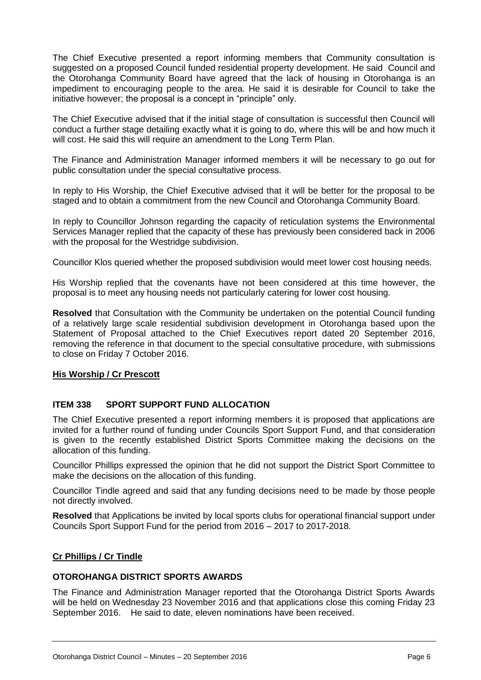The Chief Executive presented a report informing members that Community consultation is suggested on a proposed Council funded residential property development. He said Council and the Otorohanga Community Board have agreed that the lack of housing in Otorohanga is an impediment to encouraging people to the area. He said it is desirable for Council to take the initiative however; the proposal is a concept in "principle" only.

The Chief Executive advised that if the initial stage of consultation is successful then Council will conduct a further stage detailing exactly what it is going to do, where this will be and how much it will cost. He said this will require an amendment to the Long Term Plan.

The Finance and Administration Manager informed members it will be necessary to go out for public consultation under the special consultative process.

In reply to His Worship, the Chief Executive advised that it will be better for the proposal to be staged and to obtain a commitment from the new Council and Otorohanga Community Board.

In reply to Councillor Johnson regarding the capacity of reticulation systems the Environmental Services Manager replied that the capacity of these has previously been considered back in 2006 with the proposal for the Westridge subdivision.

Councillor Klos queried whether the proposed subdivision would meet lower cost housing needs.

His Worship replied that the covenants have not been considered at this time however, the proposal is to meet any housing needs not particularly catering for lower cost housing.

**Resolved** that Consultation with the Community be undertaken on the potential Council funding of a relatively large scale residential subdivision development in Otorohanga based upon the Statement of Proposal attached to the Chief Executives report dated 20 September 2016, removing the reference in that document to the special consultative procedure, with submissions to close on Friday 7 October 2016.

#### **His Worship / Cr Prescott**

#### **ITEM 338 SPORT SUPPORT FUND ALLOCATION**

The Chief Executive presented a report informing members it is proposed that applications are invited for a further round of funding under Councils Sport Support Fund, and that consideration is given to the recently established District Sports Committee making the decisions on the allocation of this funding.

Councillor Phillips expressed the opinion that he did not support the District Sport Committee to make the decisions on the allocation of this funding.

Councillor Tindle agreed and said that any funding decisions need to be made by those people not directly involved.

**Resolved** that Applications be invited by local sports clubs for operational financial support under Councils Sport Support Fund for the period from 2016 – 2017 to 2017-2018.

#### **Cr Phillips / Cr Tindle**

#### **OTOROHANGA DISTRICT SPORTS AWARDS**

The Finance and Administration Manager reported that the Otorohanga District Sports Awards will be held on Wednesday 23 November 2016 and that applications close this coming Friday 23 September 2016. He said to date, eleven nominations have been received.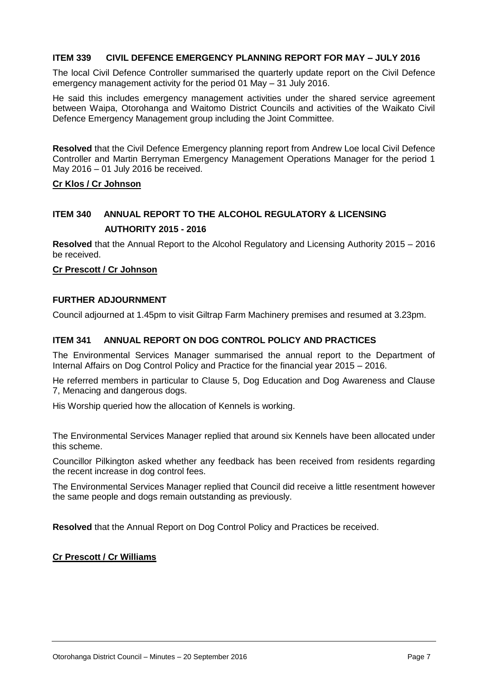#### **ITEM 339 CIVIL DEFENCE EMERGENCY PLANNING REPORT FOR MAY – JULY 2016**

The local Civil Defence Controller summarised the quarterly update report on the Civil Defence emergency management activity for the period 01 May – 31 July 2016.

He said this includes emergency management activities under the shared service agreement between Waipa, Otorohanga and Waitomo District Councils and activities of the Waikato Civil Defence Emergency Management group including the Joint Committee.

**Resolved** that the Civil Defence Emergency planning report from Andrew Loe local Civil Defence Controller and Martin Berryman Emergency Management Operations Manager for the period 1 May 2016 – 01 July 2016 be received.

#### **Cr Klos / Cr Johnson**

### **ITEM 340 ANNUAL REPORT TO THE ALCOHOL REGULATORY & LICENSING AUTHORITY 2015 - 2016**

**Resolved** that the Annual Report to the Alcohol Regulatory and Licensing Authority 2015 – 2016 be received.

#### **Cr Prescott / Cr Johnson**

#### **FURTHER ADJOURNMENT**

Council adjourned at 1.45pm to visit Giltrap Farm Machinery premises and resumed at 3.23pm.

#### **ITEM 341 ANNUAL REPORT ON DOG CONTROL POLICY AND PRACTICES**

The Environmental Services Manager summarised the annual report to the Department of Internal Affairs on Dog Control Policy and Practice for the financial year 2015 – 2016.

He referred members in particular to Clause 5, Dog Education and Dog Awareness and Clause 7, Menacing and dangerous dogs.

His Worship queried how the allocation of Kennels is working.

The Environmental Services Manager replied that around six Kennels have been allocated under this scheme.

Councillor Pilkington asked whether any feedback has been received from residents regarding the recent increase in dog control fees.

The Environmental Services Manager replied that Council did receive a little resentment however the same people and dogs remain outstanding as previously.

**Resolved** that the Annual Report on Dog Control Policy and Practices be received.

#### **Cr Prescott / Cr Williams**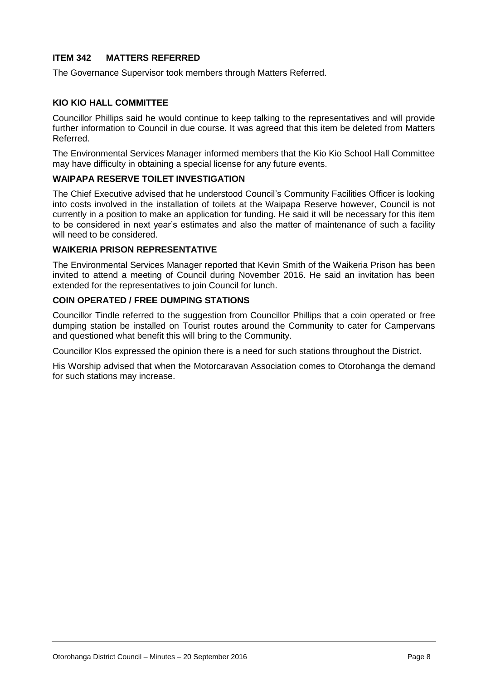#### **ITEM 342 MATTERS REFERRED**

The Governance Supervisor took members through Matters Referred.

#### **KIO KIO HALL COMMITTEE**

Councillor Phillips said he would continue to keep talking to the representatives and will provide further information to Council in due course. It was agreed that this item be deleted from Matters Referred.

The Environmental Services Manager informed members that the Kio Kio School Hall Committee may have difficulty in obtaining a special license for any future events.

#### **WAIPAPA RESERVE TOILET INVESTIGATION**

The Chief Executive advised that he understood Council's Community Facilities Officer is looking into costs involved in the installation of toilets at the Waipapa Reserve however, Council is not currently in a position to make an application for funding. He said it will be necessary for this item to be considered in next year's estimates and also the matter of maintenance of such a facility will need to be considered.

#### **WAIKERIA PRISON REPRESENTATIVE**

The Environmental Services Manager reported that Kevin Smith of the Waikeria Prison has been invited to attend a meeting of Council during November 2016. He said an invitation has been extended for the representatives to join Council for lunch.

#### **COIN OPERATED / FREE DUMPING STATIONS**

Councillor Tindle referred to the suggestion from Councillor Phillips that a coin operated or free dumping station be installed on Tourist routes around the Community to cater for Campervans and questioned what benefit this will bring to the Community.

Councillor Klos expressed the opinion there is a need for such stations throughout the District.

His Worship advised that when the Motorcaravan Association comes to Otorohanga the demand for such stations may increase.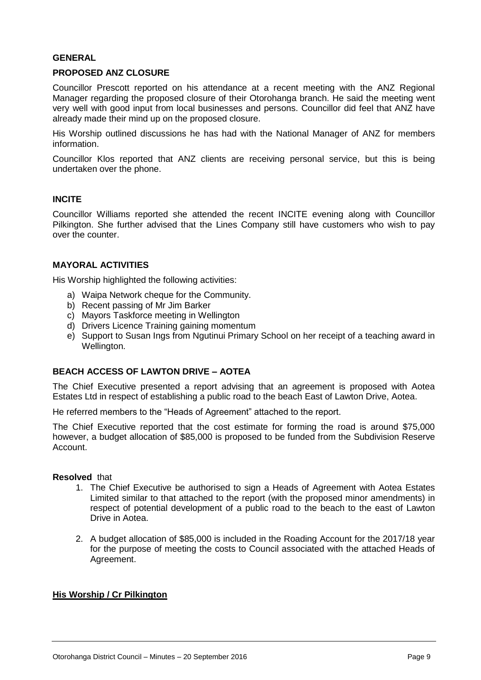#### **GENERAL**

#### **PROPOSED ANZ CLOSURE**

Councillor Prescott reported on his attendance at a recent meeting with the ANZ Regional Manager regarding the proposed closure of their Otorohanga branch. He said the meeting went very well with good input from local businesses and persons. Councillor did feel that ANZ have already made their mind up on the proposed closure.

His Worship outlined discussions he has had with the National Manager of ANZ for members information.

Councillor Klos reported that ANZ clients are receiving personal service, but this is being undertaken over the phone.

#### **INCITE**

Councillor Williams reported she attended the recent INCITE evening along with Councillor Pilkington. She further advised that the Lines Company still have customers who wish to pay over the counter.

#### **MAYORAL ACTIVITIES**

His Worship highlighted the following activities:

- a) Waipa Network cheque for the Community.
- b) Recent passing of Mr Jim Barker
- c) Mayors Taskforce meeting in Wellington
- d) Drivers Licence Training gaining momentum
- e) Support to Susan Ings from Ngutinui Primary School on her receipt of a teaching award in Wellington.

#### **BEACH ACCESS OF LAWTON DRIVE – AOTEA**

The Chief Executive presented a report advising that an agreement is proposed with Aotea Estates Ltd in respect of establishing a public road to the beach East of Lawton Drive, Aotea.

He referred members to the "Heads of Agreement" attached to the report.

The Chief Executive reported that the cost estimate for forming the road is around \$75,000 however, a budget allocation of \$85,000 is proposed to be funded from the Subdivision Reserve Account.

#### **Resolved** that

- 1. The Chief Executive be authorised to sign a Heads of Agreement with Aotea Estates Limited similar to that attached to the report (with the proposed minor amendments) in respect of potential development of a public road to the beach to the east of Lawton Drive in Aotea.
- 2. A budget allocation of \$85,000 is included in the Roading Account for the 2017/18 year for the purpose of meeting the costs to Council associated with the attached Heads of Agreement.

#### **His Worship / Cr Pilkington**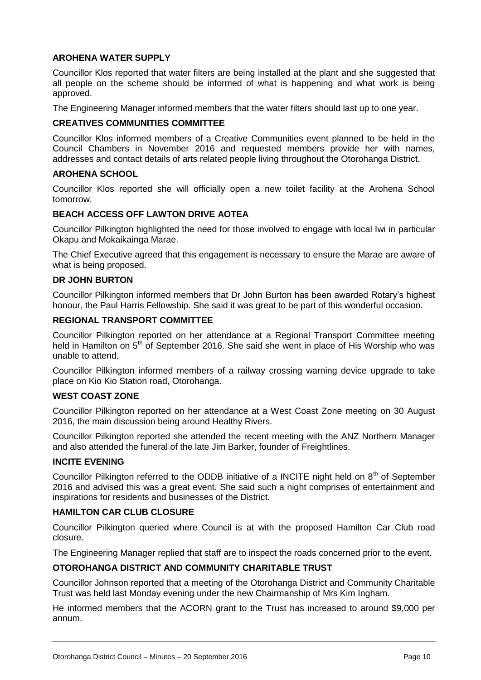#### **AROHENA WATER SUPPLY**

Councillor Klos reported that water filters are being installed at the plant and she suggested that all people on the scheme should be informed of what is happening and what work is being approved.

The Engineering Manager informed members that the water filters should last up to one year.

#### **CREATIVES COMMUNITIES COMMITTEE**

Councillor Klos informed members of a Creative Communities event planned to be held in the Council Chambers in November 2016 and requested members provide her with names, addresses and contact details of arts related people living throughout the Otorohanga District.

#### **AROHENA SCHOOL**

Councillor Klos reported she will officially open a new toilet facility at the Arohena School tomorrow.

#### **BEACH ACCESS OFF LAWTON DRIVE AOTEA**

Councillor Pilkington highlighted the need for those involved to engage with local Iwi in particular Okapu and Mokaikainga Marae.

The Chief Executive agreed that this engagement is necessary to ensure the Marae are aware of what is being proposed.

#### **DR JOHN BURTON**

Councillor Pilkington informed members that Dr John Burton has been awarded Rotary's highest honour, the Paul Harris Fellowship. She said it was great to be part of this wonderful occasion.

#### **REGIONAL TRANSPORT COMMITTEE**

Councillor Pilkington reported on her attendance at a Regional Transport Committee meeting held in Hamilton on 5<sup>th</sup> of September 2016. She said she went in place of His Worship who was unable to attend.

Councillor Pilkington informed members of a railway crossing warning device upgrade to take place on Kio Kio Station road, Otorohanga.

#### **WEST COAST ZONE**

Councillor Pilkington reported on her attendance at a West Coast Zone meeting on 30 August 2016, the main discussion being around Healthy Rivers.

Councillor Pilkington reported she attended the recent meeting with the ANZ Northern Manager and also attended the funeral of the late Jim Barker, founder of Freightlines.

#### **INCITE EVENING**

Councillor Pilkington referred to the ODDB initiative of a INCITE night held on 8<sup>th</sup> of September 2016 and advised this was a great event. She said such a night comprises of entertainment and inspirations for residents and businesses of the District.

#### **HAMILTON CAR CLUB CLOSURE**

Councillor Pilkington queried where Council is at with the proposed Hamilton Car Club road closure.

The Engineering Manager replied that staff are to inspect the roads concerned prior to the event.

#### **OTOROHANGA DISTRICT AND COMMUNITY CHARITABLE TRUST**

Councillor Johnson reported that a meeting of the Otorohanga District and Community Charitable Trust was held last Monday evening under the new Chairmanship of Mrs Kim Ingham.

He informed members that the ACORN grant to the Trust has increased to around \$9,000 per annum.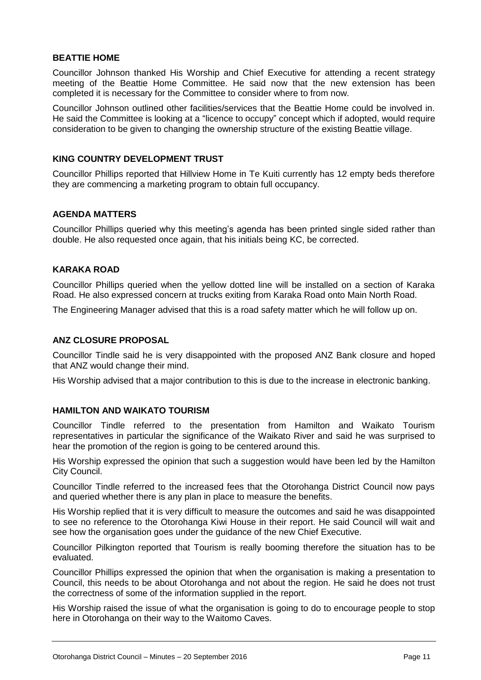#### **BEATTIE HOME**

Councillor Johnson thanked His Worship and Chief Executive for attending a recent strategy meeting of the Beattie Home Committee. He said now that the new extension has been completed it is necessary for the Committee to consider where to from now.

Councillor Johnson outlined other facilities/services that the Beattie Home could be involved in. He said the Committee is looking at a "licence to occupy" concept which if adopted, would require consideration to be given to changing the ownership structure of the existing Beattie village.

#### **KING COUNTRY DEVELOPMENT TRUST**

Councillor Phillips reported that Hillview Home in Te Kuiti currently has 12 empty beds therefore they are commencing a marketing program to obtain full occupancy.

#### **AGENDA MATTERS**

Councillor Phillips queried why this meeting's agenda has been printed single sided rather than double. He also requested once again, that his initials being KC, be corrected.

#### **KARAKA ROAD**

Councillor Phillips queried when the yellow dotted line will be installed on a section of Karaka Road. He also expressed concern at trucks exiting from Karaka Road onto Main North Road.

The Engineering Manager advised that this is a road safety matter which he will follow up on.

#### **ANZ CLOSURE PROPOSAL**

Councillor Tindle said he is very disappointed with the proposed ANZ Bank closure and hoped that ANZ would change their mind.

His Worship advised that a major contribution to this is due to the increase in electronic banking.

#### **HAMILTON AND WAIKATO TOURISM**

Councillor Tindle referred to the presentation from Hamilton and Waikato Tourism representatives in particular the significance of the Waikato River and said he was surprised to hear the promotion of the region is going to be centered around this.

His Worship expressed the opinion that such a suggestion would have been led by the Hamilton City Council.

Councillor Tindle referred to the increased fees that the Otorohanga District Council now pays and queried whether there is any plan in place to measure the benefits.

His Worship replied that it is very difficult to measure the outcomes and said he was disappointed to see no reference to the Otorohanga Kiwi House in their report. He said Council will wait and see how the organisation goes under the guidance of the new Chief Executive.

Councillor Pilkington reported that Tourism is really booming therefore the situation has to be evaluated.

Councillor Phillips expressed the opinion that when the organisation is making a presentation to Council, this needs to be about Otorohanga and not about the region. He said he does not trust the correctness of some of the information supplied in the report.

His Worship raised the issue of what the organisation is going to do to encourage people to stop here in Otorohanga on their way to the Waitomo Caves.